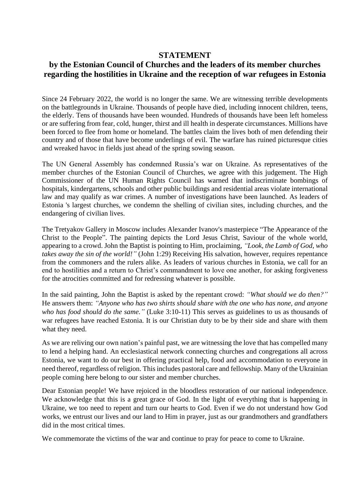## **STATEMENT**

## **by the Estonian Council of Churches and the leaders of its member churches regarding the hostilities in Ukraine and the reception of war refugees in Estonia**

Since 24 February 2022, the world is no longer the same. We are witnessing terrible developments on the battlegrounds in Ukraine. Thousands of people have died, including innocent children, teens, the elderly. Tens of thousands have been wounded. Hundreds of thousands have been left homeless or are suffering from fear, cold, hunger, thirst and ill health in desperate circumstances. Millions have been forced to flee from home or homeland. The battles claim the lives both of men defending their country and of those that have become underlings of evil. The warfare has ruined picturesque cities and wreaked havoc in fields just ahead of the spring sowing season.

The UN General Assembly has condemned Russia's war on Ukraine. As representatives of the member churches of the Estonian Council of Churches, we agree with this judgement. The High Commissioner of the UN Human Rights Council has warned that indiscriminate bombings of hospitals, kindergartens, schools and other public buildings and residential areas violate international law and may qualify as war crimes. A number of investigations have been launched. As leaders of Estonia 's largest churches, we condemn the shelling of civilian sites, including churches, and the endangering of civilian lives.

The Tretyakov Gallery in Moscow includes Alexander Ivanov's masterpiece "The Appearance of the Christ to the People". The painting depicts the Lord Jesus Christ, Saviour of the whole world, appearing to a crowd. John the Baptist is pointing to Him, proclaiming, *"Look, the Lamb of God, who takes away the sin of the world!"* (John 1:29) Receiving His salvation, however, requires repentance from the commoners and the rulers alike. As leaders of various churches in Estonia, we call for an end to hostilities and a return to Christ's commandment to love one another, for asking forgiveness for the atrocities committed and for redressing whatever is possible.

In the said painting, John the Baptist is asked by the repentant crowd: *"What should we do then?"*  He answers them: *"Anyone who has two shirts should share with the one who has none, and anyone who has food should do the same."* (Luke 3:10-11) This serves as guidelines to us as thousands of war refugees have reached Estonia. It is our Christian duty to be by their side and share with them what they need.

As we are reliving our own nation's painful past, we are witnessing the love that has compelled many to lend a helping hand. An ecclesiastical network connecting churches and congregations all across Estonia, we want to do our best in offering practical help, food and accommodation to everyone in need thereof, regardless of religion. This includes pastoral care and fellowship. Many of the Ukrainian people coming here belong to our sister and member churches.

Dear Estonian people! We have rejoiced in the bloodless restoration of our national independence. We acknowledge that this is a great grace of God. In the light of everything that is happening in Ukraine, we too need to repent and turn our hearts to God. Even if we do not understand how God works, we entrust our lives and our land to Him in prayer, just as our grandmothers and grandfathers did in the most critical times.

We commemorate the victims of the war and continue to pray for peace to come to Ukraine.